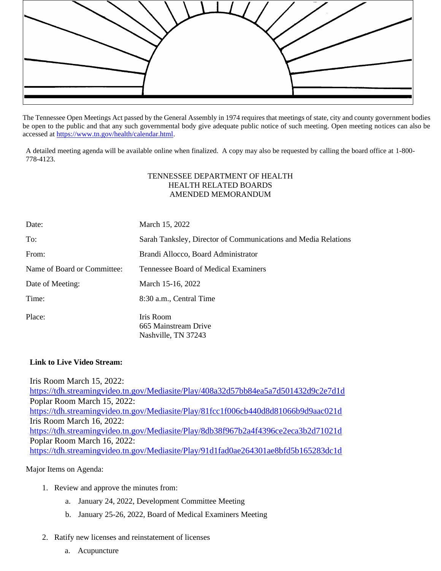

The Tennessee Open Meetings Act passed by the General Assembly in 1974 requires that meetings of state, city and county government bodies be open to the public and that any such governmental body give adequate public notice of such meeting. Open meeting notices can also be accessed a[t https://www.tn.gov/health/calendar.html.](https://www.tn.gov/health/calendar.html)

A detailed meeting agenda will be available online when finalized. A copy may also be requested by calling the board office at 1-800- 778-4123.

## TENNESSEE DEPARTMENT OF HEALTH HEALTH RELATED BOARDS AMENDED MEMORANDUM

| Date:                       | March 15, 2022                                                 |
|-----------------------------|----------------------------------------------------------------|
| To:                         | Sarah Tanksley, Director of Communications and Media Relations |
| From:                       | Brandi Allocco, Board Administrator                            |
| Name of Board or Committee: | Tennessee Board of Medical Examiners                           |
| Date of Meeting:            | March 15-16, 2022                                              |
| Time:                       | 8:30 a.m., Central Time                                        |
| Place:                      | Iris Room<br>665 Mainstream Drive<br>Nashville, TN 37243       |

## **Link to Live Video Stream:**

Iris Room March 15, 2022: <https://tdh.streamingvideo.tn.gov/Mediasite/Play/408a32d57bb84ea5a7d501432d9c2e7d1d> Poplar Room March 15, 2022: <https://tdh.streamingvideo.tn.gov/Mediasite/Play/81fcc1f006cb440d8d81066b9d9aac021d> Iris Room March 16, 2022: <https://tdh.streamingvideo.tn.gov/Mediasite/Play/8db38f967b2a4f4396ce2eca3b2d71021d> Poplar Room March 16, 2022: <https://tdh.streamingvideo.tn.gov/Mediasite/Play/91d1fad0ae264301ae8bfd5b165283dc1d>

## Major Items on Agenda:

- 1. Review and approve the minutes from:
	- a. January 24, 2022, Development Committee Meeting
	- b. January 25-26, 2022, Board of Medical Examiners Meeting
- 2. Ratify new licenses and reinstatement of licenses
	- a. Acupuncture